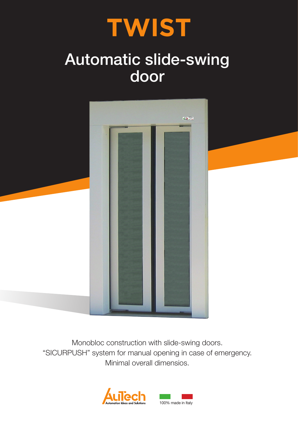# **TWIST**

# Automatic slide-swing door



Monobloc construction with slide-swing doors. "SICURPUSH" system for manual opening in case of emergency. Minimal overall dimensios.

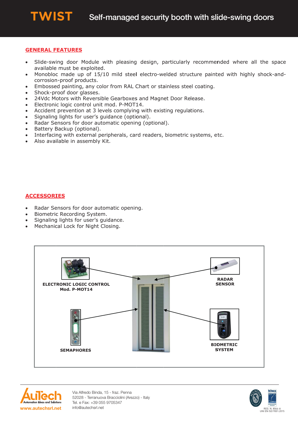# **GENERAL FEATURES**

**TWIST** 

- Slide-swing door Module with pleasing design, particularly recommended where all the space  $\bullet$ available must be exploited.
- Monobloc made up of 15/10 mild steel electro-welded structure painted with highly shock-andcorrosion-proof products.
- Embossed painting, any color from RAL Chart or stainless steel coating.  $\bullet$
- Shock-proof door glasses.  $\bullet$
- 24Vdc Motors with Reversible Gearboxes and Magnet Door Release.  $\bullet$
- Electronic logic control unit mod. P-MOT14.  $\bullet$
- Accident prevention at 3 levels complying with existing regulations.
- Signaling lights for user's guidance (optional).  $\bullet$
- Radar Sensors for door automatic opening (optional).
- Battery Backup (optional).  $\bullet$
- Interfacing with external peripherals, card readers, biometric systems, etc.
- Also available in assembly Kit.  $\bullet$

# **ACCESSORIES**

- Radar Sensors for door automatic opening.  $\bullet$
- Biometric Recording System.
- Signaling lights for user's guidance.
- Mechanical Lock for Night Closing.  $\bullet$



![](_page_1_Picture_20.jpeg)

Via Alfredo Binda, 15 - fraz. Penna 52028 - Terranuova Bracciolini (Arezzo) - Italy Tel. e Fax: +39 055 9705347 info@autechsrl.net

![](_page_1_Picture_22.jpeg)